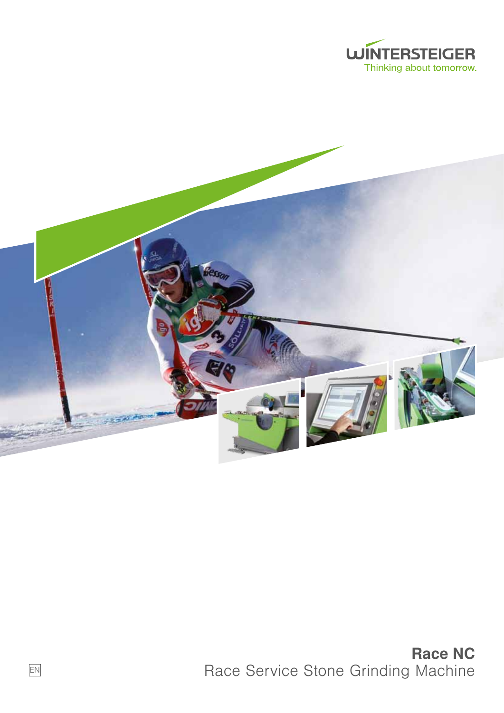



Race NC Race Service Stone Grinding Machine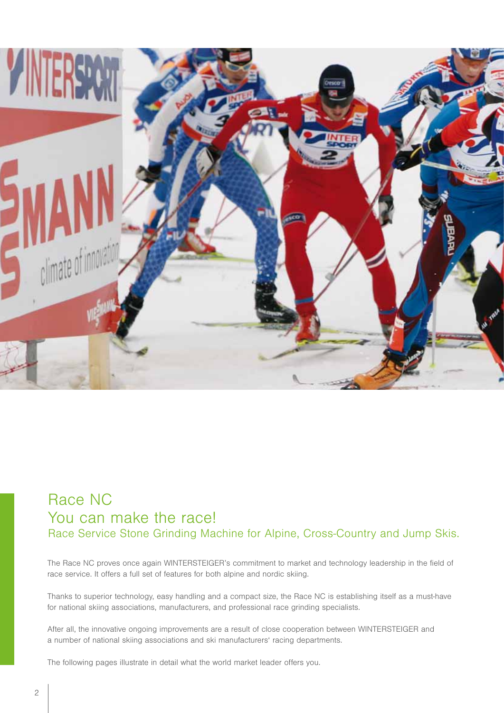

## Race NC You can make the race! Race Service Stone Grinding Machine for Alpine, Cross-Country and Jump Skis.

The Race NC proves once again WINTERSTEIGER's commitment to market and technology leadership in the field of race service. It offers a full set of features for both alpine and nordic skiing.

Thanks to superior technology, easy handling and a compact size, the Race NC is establishing itself as a must-have for national skiing associations, manufacturers, and professional race grinding specialists.

After all, the innovative ongoing improvements are a result of close cooperation between WINTERSTEIGER and a number of national skiing associations and ski manufacturers' racing departments.

The following pages illustrate in detail what the world market leader offers you.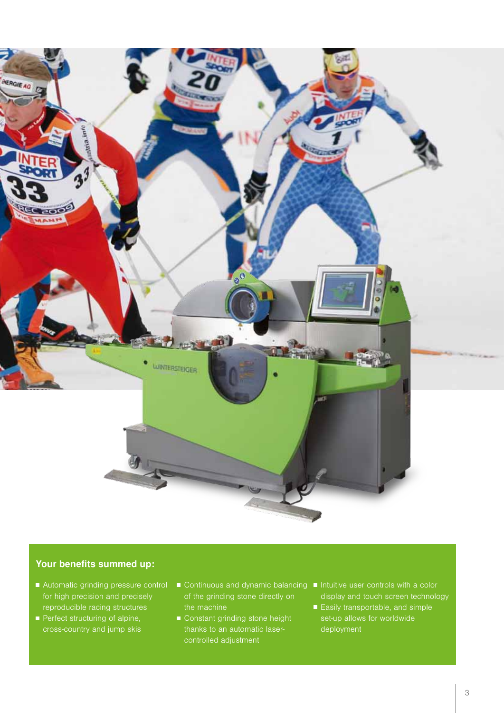

#### Your benefits summed up:

- Automatic grinding pressure control for high precision and precisely reproducible racing structures
- **Perfect structuring of alpine,** cross-country and jump skis
- of the grinding stone directly on the machine
- Constant grinding stone height controlled adjustment
- Continuous and dynamic balancing Intuitive user controls with a color display and touch screen technology
	- Easily transportable, and simple set-up allows for worldwide deployment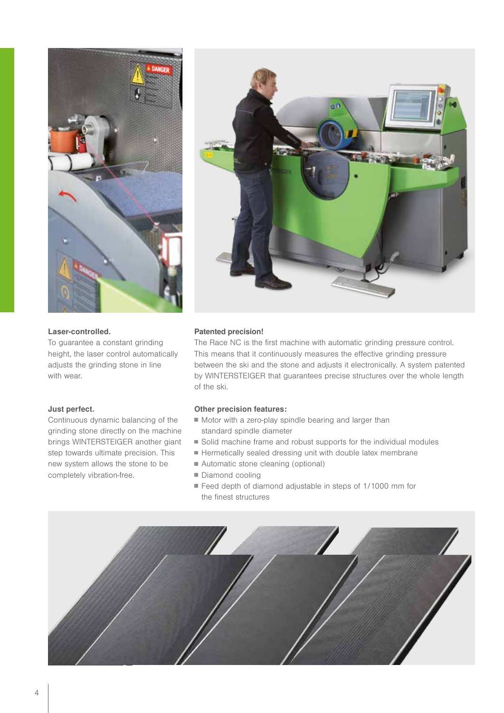

### Laser-controlled.

To guarantee a constant grinding height, the laser control automatically adjusts the grinding stone in line with wear.

#### Just perfect.

Continuous dynamic balancing of the grinding stone directly on the machine brings WINTERSTEIGER another giant step towards ultimate precision. This new system allows the stone to be completely vibration-free.



#### Patented precision!

The Race NC is the first machine with automatic grinding pressure control. This means that it continuously measures the effective grinding pressure between the ski and the stone and adjusts it electronically. A system patented by WINTERSTEIGER that guarantees precise structures over the whole length of the ski.

#### Other precision features:

- Motor with a zero-play spindle bearing and larger than standard spindle diameter
- Solid machine frame and robust supports for the individual modules
- Hermetically sealed dressing unit with double latex membrane
- Automatic stone cleaning (optional)
- Diamond cooling
- Feed depth of diamond adjustable in steps of 1/1000 mm for the finest structures

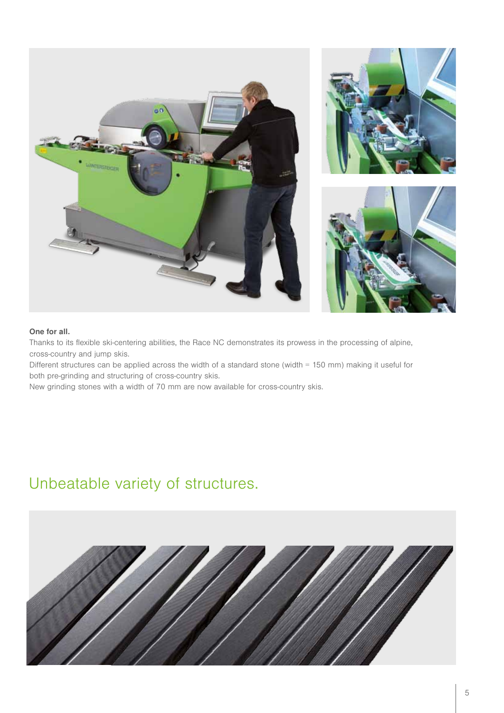

#### One for all.

Thanks to its flexible ski-centering abilities, the Race NC demonstrates its prowess in the processing of alpine, cross-country and jump skis.

Different structures can be applied across the width of a standard stone (width = 150 mm) making it useful for both pre-grinding and structuring of cross-country skis.

New grinding stones with a width of 70 mm are now available for cross-country skis.

# Unbeatable variety of structures.

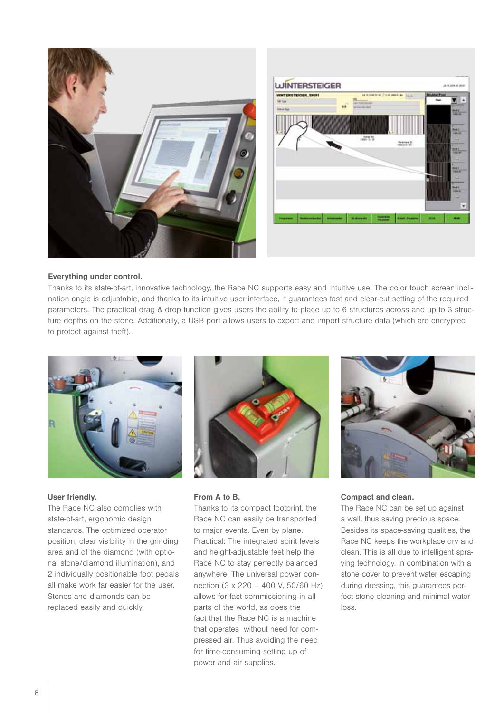



#### Everything under control.

Thanks to its state-of-art, innovative technology, the Race NC supports easy and intuitive use. The color touch screen inclination angle is adjustable, and thanks to its intuitive user interface, it guarantees fast and clear-cut setting of the required parameters. The practical drag & drop function gives users the ability to place up to 6 structures across and up to 3 structure depths on the stone. Additionally, a USB port allows users to export and import structure data (which are encrypted to protect against theft).



#### User friendly.

The Race NC also complies with state-of-art, ergonomic design standards. The optimized operator position, clear visibility in the grinding area and of the diamond (with optional stone/diamond illumination), and 2 individually positionable foot pedals all make work far easier for the user. Stones and diamonds can be replaced easily and quickly.



#### From A to B.

Thanks to its compact footprint, the Race NC can easily be transported to major events. Even by plane. Practical: The integrated spirit levels and height-adjustable feet help the Race NC to stay perfectly balanced anywhere. The universal power connection (3 x 220 – 400 V, 50/60 Hz) allows for fast commissioning in all parts of the world, as does the fact that the Race NC is a machine that operates without need for compressed air. Thus avoiding the need for time-consuming setting up of power and air supplies.



#### Compact and clean.

The Race NC can be set up against a wall, thus saving precious space. Besides its space-saving qualities, the Race NC keeps the workplace dry and clean. This is all due to intelligent spraying technology. In combination with a stone cover to prevent water escaping during dressing, this guarantees perfect stone cleaning and minimal water loss.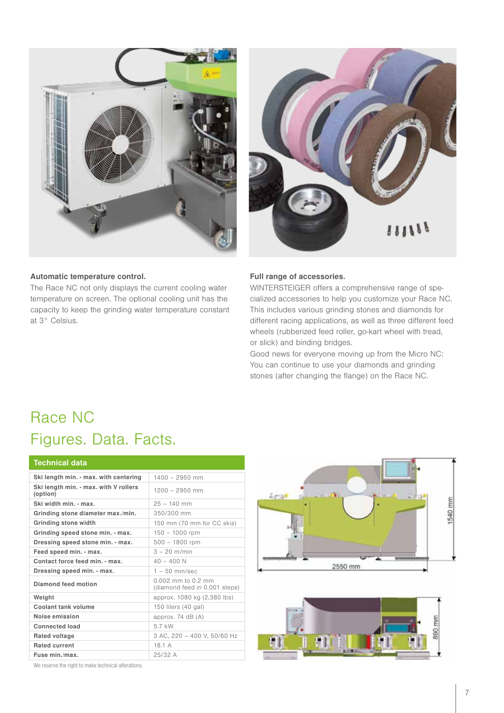



#### Automatic temperature control.

The Race NC not only displays the current cooling water temperature on screen. The optional cooling unit has the capacity to keep the grinding water temperature constant at 3° Celsius.

#### Full range of accessories.

WINTERSTEIGER offers a comprehensive range of specialized accessories to help you customize your Race NC. This includes various grinding stones and diamonds for different racing applications, as well as three different feed wheels (rubberized feed roller, go-kart wheel with tread, or slick) and binding bridges.

Good news for everyone moving up from the Micro NC: You can continue to use your diamonds and grinding stones (after changing the flange) on the Race NC.

# Race NC Figures. Data. Facts.

| <b>Technical data</b>                             |                                                       |
|---------------------------------------------------|-------------------------------------------------------|
| Ski length min. - max. with centering             | $1400 - 2950$ mm                                      |
| Ski length min. - max. with V rollers<br>(option) | $1200 - 2950$ mm                                      |
| Ski width min. - max.                             | $25 - 140$ mm                                         |
| Grinding stone diameter max./min.                 | 350/300 mm                                            |
| Grinding stone width                              | 150 mm (70 mm for CC skis)                            |
| Grinding speed stone min. - max.                  | $150 - 1000$ rpm                                      |
| Dressing speed stone min. - max.                  | $500 - 1800$ rpm                                      |
| Feed speed min. - max.                            | $3 - 20$ m/min                                        |
| Contact force feed min. - max.                    | $40 - 400 N$                                          |
| Dressing speed min. - max.                        | $1 - 50$ mm/sec                                       |
| Diamond feed motion                               | $0.002$ mm to 0.2 mm<br>(diamond feed in 0.001 steps) |
| Weight                                            | approx. 1080 kg (2,380 lbs)                           |
| Coolant tank volume                               | 150 liters (40 gal)                                   |
| Noise emission                                    | approx. $74$ dB $(A)$                                 |
| <b>Connected load</b>                             | 5.7 kW                                                |
| Rated voltage                                     | 3 AC, 220 - 400 V, 50/60 Hz                           |
| <b>Rated current</b>                              | 18.1 A                                                |
| Fuse min./max.                                    | 25/32 A                                               |





We reserve the right to make technical alterations.